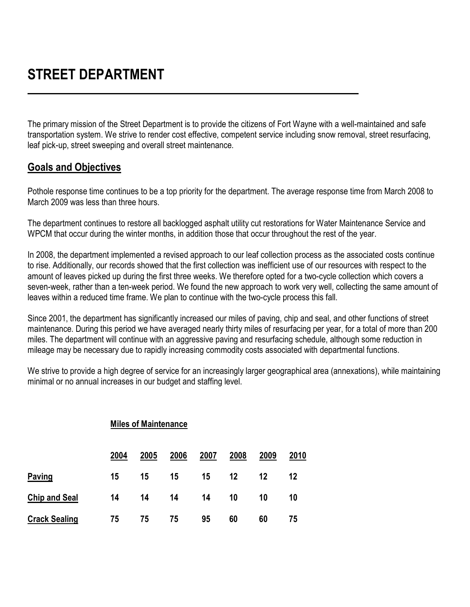The primary mission of the Street Department is to provide the citizens of Fort Wayne with a well-maintained and safe transportation system. We strive to render cost effective, competent service including snow removal, street resurfacing, leaf pick-up, street sweeping and overall street maintenance.

## **Goals and Objectives**

Pothole response time continues to be a top priority for the department. The average response time from March 2008 to March 2009 was less than three hours.

The department continues to restore all backlogged asphalt utility cut restorations for Water Maintenance Service and WPCM that occur during the winter months, in addition those that occur throughout the rest of the year.

In 2008, the department implemented a revised approach to our leaf collection process as the associated costs continue to rise. Additionally, our records showed that the first collection was inefficient use of our resources with respect to the amount of leaves picked up during the first three weeks. We therefore opted for a two-cycle collection which covers a seven-week, rather than a ten-week period. We found the new approach to work very well, collecting the same amount of leaves within a reduced time frame. We plan to continue with the two-cycle process this fall.

Since 2001, the department has significantly increased our miles of paving, chip and seal, and other functions of street maintenance. During this period we have averaged nearly thirty miles of resurfacing per year, for a total of more than 200 miles. The department will continue with an aggressive paving and resurfacing schedule, although some reduction in mileage may be necessary due to rapidly increasing commodity costs associated with departmental functions.

We strive to provide a high degree of service for an increasingly larger geographical area (annexations), while maintaining minimal or no annual increases in our budget and staffing level.

|                      | <b>Miles of Maintenance</b> |      |      |      |      |      |             |  |  |
|----------------------|-----------------------------|------|------|------|------|------|-------------|--|--|
|                      | 2004                        | 2005 | 2006 | 2007 | 2008 | 2009 | <u>2010</u> |  |  |
| Paving               | 15                          | 15   | 15   | 15   | 12   | 12   | 12          |  |  |
| <b>Chip and Seal</b> | 14                          | 14   | 14   | 14   | 10   | 10   | 10          |  |  |
| <b>Crack Sealing</b> | 75                          | 75   | 75   | 95   | 60   | 60   | 75          |  |  |

 $\frac{1}{2}$  and  $\frac{1}{2}$  and  $\frac{1}{2}$  and  $\frac{1}{2}$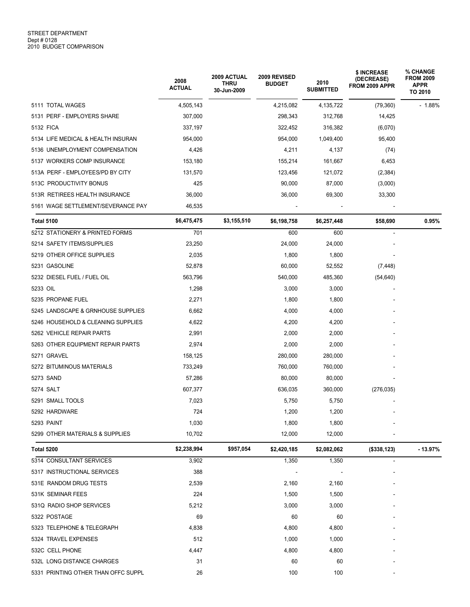|                                     | 2008<br><b>ACTUAL</b> | 2009 ACTUAL<br><b>THRU</b><br>30-Jun-2009 | 2009 REVISED<br><b>BUDGET</b> | 2010<br><b>SUBMITTED</b> | \$ INCREASE<br>(DECREASE)<br>FROM 2009 APPR | % CHANGE<br><b>FROM 2009</b><br>APPR<br>TO 2010 |
|-------------------------------------|-----------------------|-------------------------------------------|-------------------------------|--------------------------|---------------------------------------------|-------------------------------------------------|
| 5111 TOTAL WAGES                    | 4,505,143             |                                           | 4,215,082                     | 4,135,722                | (79, 360)                                   | $-1.88%$                                        |
| 5131 PERF - EMPLOYERS SHARE         | 307,000               |                                           | 298,343                       | 312,768                  | 14,425                                      |                                                 |
| 5132 FICA                           | 337,197               |                                           | 322,452                       | 316,382                  | (6,070)                                     |                                                 |
| 5134 LIFE MEDICAL & HEALTH INSURAN  | 954,000               |                                           | 954,000                       | 1,049,400                | 95,400                                      |                                                 |
| 5136 UNEMPLOYMENT COMPENSATION      | 4,426                 |                                           | 4,211                         | 4,137                    | (74)                                        |                                                 |
| 5137 WORKERS COMP INSURANCE         | 153,180               |                                           | 155,214                       | 161,667                  | 6,453                                       |                                                 |
| 513A PERF - EMPLOYEES/PD BY CITY    | 131,570               |                                           | 123,456                       | 121,072                  | (2, 384)                                    |                                                 |
| 513C PRODUCTIVITY BONUS             | 425                   |                                           | 90,000                        | 87,000                   | (3,000)                                     |                                                 |
| 513R RETIREES HEALTH INSURANCE      | 36,000                |                                           | 36,000                        | 69,300                   | 33,300                                      |                                                 |
| 5161 WAGE SETTLEMENT/SEVERANCE PAY  | 46,535                |                                           |                               |                          |                                             |                                                 |
| <b>Total 5100</b>                   | \$6,475,475           | \$3,155,510                               | \$6,198,758                   | \$6,257,448              | \$58,690                                    | 0.95%                                           |
| 5212 STATIONERY & PRINTED FORMS     | 701                   |                                           | 600                           | 600                      |                                             |                                                 |
| 5214 SAFETY ITEMS/SUPPLIES          | 23,250                |                                           | 24,000                        | 24,000                   |                                             |                                                 |
| 5219 OTHER OFFICE SUPPLIES          | 2,035                 |                                           | 1,800                         | 1,800                    |                                             |                                                 |
| 5231 GASOLINE                       | 52,878                |                                           | 60,000                        | 52,552                   | (7, 448)                                    |                                                 |
| 5232 DIESEL FUEL / FUEL OIL         | 563,796               |                                           | 540,000                       | 485,360                  | (54, 640)                                   |                                                 |
| 5233 OIL                            | 1,298                 |                                           | 3,000                         | 3,000                    |                                             |                                                 |
| 5235 PROPANE FUEL                   | 2,271                 |                                           | 1,800                         | 1,800                    |                                             |                                                 |
| 5245 LANDSCAPE & GRNHOUSE SUPPLIES  | 6,662                 |                                           | 4,000                         | 4,000                    |                                             |                                                 |
| 5246 HOUSEHOLD & CLEANING SUPPLIES  | 4,622                 |                                           | 4,200                         | 4,200                    |                                             |                                                 |
| 5262 VEHICLE REPAIR PARTS           | 2,991                 |                                           | 2,000                         | 2,000                    |                                             |                                                 |
| 5263 OTHER EQUIPMENT REPAIR PARTS   | 2,974                 |                                           | 2,000                         | 2,000                    |                                             |                                                 |
| 5271 GRAVEL                         | 158,125               |                                           | 280,000                       | 280,000                  |                                             |                                                 |
| 5272 BITUMINOUS MATERIALS           | 733,249               |                                           | 760,000                       | 760,000                  |                                             |                                                 |
| 5273 SAND                           | 57,286                |                                           | 80,000                        | 80,000                   |                                             |                                                 |
| 5274 SALT                           | 607,377               |                                           | 636,035                       | 360,000                  | (276, 035)                                  |                                                 |
| 5291 SMALL TOOLS                    | 7,023                 |                                           | 5,750                         | 5,750                    |                                             |                                                 |
| 5292 HARDWARE                       | 724                   |                                           | 1,200                         | 1,200                    |                                             |                                                 |
| 5293 PAINT                          | 1,030                 |                                           | 1,800                         | 1,800                    |                                             |                                                 |
| 5299 OTHER MATERIALS & SUPPLIES     | 10,702                |                                           | 12,000                        | 12,000                   |                                             |                                                 |
| Total 5200                          | \$2,238,994           | \$957,054                                 | \$2,420,185                   | \$2,082,062              | (\$338, 123)                                | - 13.97%                                        |
| 5314 CONSULTANT SERVICES            | 3,902                 |                                           | 1,350                         | 1,350                    | ٠                                           |                                                 |
| 5317 INSTRUCTIONAL SERVICES         | 388                   |                                           |                               |                          |                                             |                                                 |
| 531E RANDOM DRUG TESTS              | 2,539                 |                                           | 2,160                         | 2,160                    |                                             |                                                 |
| 531K SEMINAR FEES                   | 224                   |                                           | 1,500                         | 1,500                    |                                             |                                                 |
| 531Q RADIO SHOP SERVICES            | 5,212                 |                                           | 3,000                         | 3,000                    |                                             |                                                 |
| 5322 POSTAGE                        | 69                    |                                           | 60                            | 60                       |                                             |                                                 |
| 5323 TELEPHONE & TELEGRAPH          | 4,838                 |                                           | 4,800                         | 4,800                    |                                             |                                                 |
| 5324 TRAVEL EXPENSES                | 512                   |                                           | 1,000                         | 1,000                    |                                             |                                                 |
| 532C CELL PHONE                     | 4,447                 |                                           | 4,800                         | 4,800                    |                                             |                                                 |
| 532L LONG DISTANCE CHARGES          | 31                    |                                           | 60                            | 60                       |                                             |                                                 |
| 5331 PRINTING OTHER THAN OFFC SUPPL | 26                    |                                           | 100                           | 100                      |                                             |                                                 |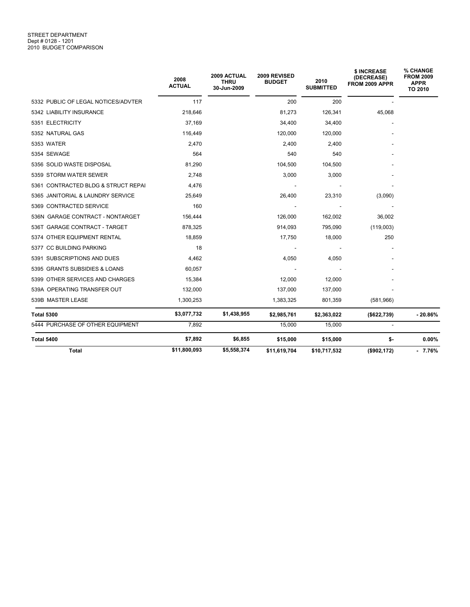## STREET DEPARTMENT<br>Dept # 0128 - 1201 2010 BUDGET COMPARISON

|                                     | 2008<br><b>ACTUAL</b> | 2009 ACTUAL<br><b>THRU</b><br>30-Jun-2009 | 2009 REVISED<br><b>BUDGET</b> | 2010<br><b>SUBMITTED</b> | \$ INCREASE<br>(DECREASE)<br>FROM 2009 APPR | <b>% CHANGE</b><br><b>FROM 2009</b><br><b>APPR</b><br>TO 2010 |
|-------------------------------------|-----------------------|-------------------------------------------|-------------------------------|--------------------------|---------------------------------------------|---------------------------------------------------------------|
| 5332 PUBLIC OF LEGAL NOTICES/ADVTER | 117                   |                                           | 200                           | 200                      |                                             |                                                               |
| 5342 LIABILITY INSURANCE            | 218,646               |                                           | 81,273                        | 126,341                  | 45,068                                      |                                                               |
| 5351 ELECTRICITY                    | 37,169                |                                           | 34,400                        | 34,400                   |                                             |                                                               |
| 5352 NATURAL GAS                    | 116,449               |                                           | 120,000                       | 120,000                  |                                             |                                                               |
| 5353 WATER                          | 2,470                 |                                           | 2,400                         | 2,400                    |                                             |                                                               |
| 5354 SEWAGE                         | 564                   |                                           | 540                           | 540                      |                                             |                                                               |
| 5356 SOLID WASTE DISPOSAL           | 81,290                |                                           | 104,500                       | 104,500                  |                                             |                                                               |
| 5359 STORM WATER SEWER              | 2.748                 |                                           | 3,000                         | 3,000                    |                                             |                                                               |
| 5361 CONTRACTED BLDG & STRUCT REPAI | 4,476                 |                                           |                               |                          |                                             |                                                               |
| 5365 JANITORIAL & LAUNDRY SERVICE   | 25,649                |                                           | 26,400                        | 23,310                   | (3,090)                                     |                                                               |
| 5369 CONTRACTED SERVICE             | 160                   |                                           |                               |                          |                                             |                                                               |
| 536N GARAGE CONTRACT - NONTARGET    | 156,444               |                                           | 126,000                       | 162,002                  | 36,002                                      |                                                               |
| 536T GARAGE CONTRACT - TARGET       | 878,325               |                                           | 914,093                       | 795,090                  | (119,003)                                   |                                                               |
| 5374 OTHER EQUIPMENT RENTAL         | 18,859                |                                           | 17,750                        | 18,000                   | 250                                         |                                                               |
| 5377 CC BUILDING PARKING            | 18                    |                                           |                               |                          |                                             |                                                               |
| 5391 SUBSCRIPTIONS AND DUES         | 4,462                 |                                           | 4,050                         | 4,050                    |                                             |                                                               |
| 5395 GRANTS SUBSIDIES & LOANS       | 60,057                |                                           |                               |                          |                                             |                                                               |
| 5399 OTHER SERVICES AND CHARGES     | 15,384                |                                           | 12,000                        | 12,000                   |                                             |                                                               |
| 539A OPERATING TRANSFER OUT         | 132,000               |                                           | 137,000                       | 137,000                  |                                             |                                                               |
| 539B MASTER LEASE                   | 1,300,253             |                                           | 1,383,325                     | 801,359                  | (581,966)                                   |                                                               |
| <b>Total 5300</b>                   | \$3,077,732           | \$1,438,955                               | \$2,985,761                   | \$2,363,022              | (\$622,739)                                 | $-20.86%$                                                     |
| 5444 PURCHASE OF OTHER EQUIPMENT    | 7,892                 |                                           | 15,000                        | 15,000                   |                                             |                                                               |
| <b>Total 5400</b>                   | \$7,892               | \$6,855                                   | \$15,000                      | \$15,000                 | \$-                                         | 0.00%                                                         |
| Total                               | \$11,800,093          | \$5,558,374                               | \$11,619,704                  | \$10,717,532             | (\$902, 172)                                | $-7.76%$                                                      |